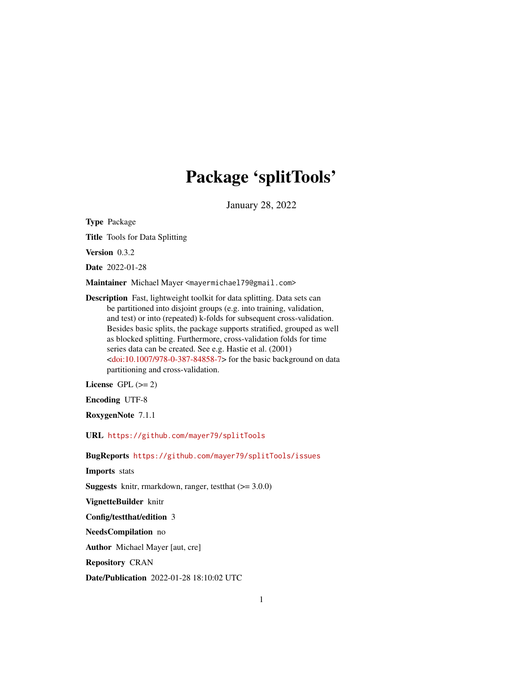# Package 'splitTools'

January 28, 2022

Type Package

Title Tools for Data Splitting

Version 0.3.2

Date 2022-01-28

Maintainer Michael Mayer <mayermichael79@gmail.com>

Description Fast, lightweight toolkit for data splitting. Data sets can be partitioned into disjoint groups (e.g. into training, validation, and test) or into (repeated) k-folds for subsequent cross-validation. Besides basic splits, the package supports stratified, grouped as well as blocked splitting. Furthermore, cross-validation folds for time series data can be created. See e.g. Hastie et al. (2001)  $\langle \text{doi:10.1007/978-0-387-84858-7}\rangle$  for the basic background on data partitioning and cross-validation.

License GPL  $(>= 2)$ 

Encoding UTF-8

RoxygenNote 7.1.1

URL <https://github.com/mayer79/splitTools>

BugReports <https://github.com/mayer79/splitTools/issues>

Imports stats

**Suggests** knitr, rmarkdown, ranger, test that  $(>= 3.0.0)$ 

VignetteBuilder knitr

Config/testthat/edition 3

NeedsCompilation no

Author Michael Mayer [aut, cre]

Repository CRAN

Date/Publication 2022-01-28 18:10:02 UTC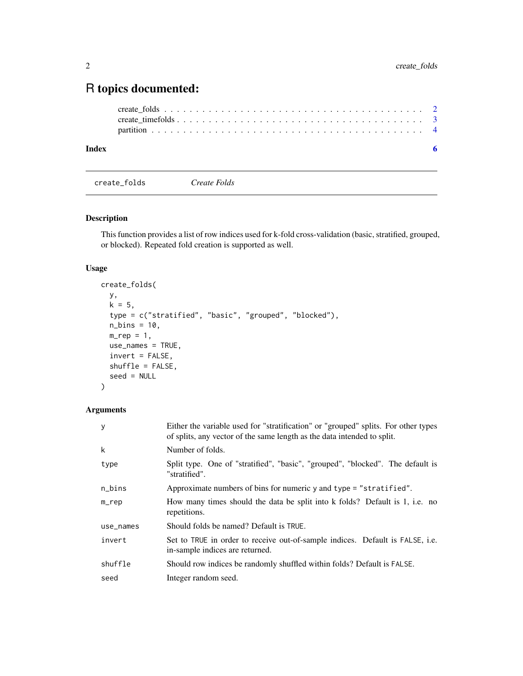## <span id="page-1-0"></span>R topics documented:

| Index | -6 |
|-------|----|
|       |    |
|       |    |
|       |    |

create\_folds *Create Folds*

#### Description

This function provides a list of row indices used for k-fold cross-validation (basic, stratified, grouped, or blocked). Repeated fold creation is supported as well.

### Usage

```
create_folds(
 y,
 k = 5,
 type = c("stratified", "basic", "grouped", "blocked"),
 n_bins = 10,
 m_{r}ep = 1,use_names = TRUE,
 invert = FALSE,shuffle = FALSE,
 seed = NULL
)
```
#### Arguments

| У         | Either the variable used for "stratification" or "grouped" splits. For other types<br>of splits, any vector of the same length as the data intended to split. |  |  |
|-----------|---------------------------------------------------------------------------------------------------------------------------------------------------------------|--|--|
| k         | Number of folds.                                                                                                                                              |  |  |
| type      | Split type. One of "stratified", "basic", "grouped", "blocked". The default is<br>"stratified".                                                               |  |  |
| n_bins    | Approximate numbers of bins for numeric y and type = "stratified".                                                                                            |  |  |
| $m$ _rep  | How many times should the data be split into k folds? Default is 1, i.e. no<br>repetitions.                                                                   |  |  |
| use_names | Should folds be named? Default is TRUE.                                                                                                                       |  |  |
| invert    | Set to TRUE in order to receive out-of-sample indices. Default is FALSE, i.e.<br>in-sample indices are returned.                                              |  |  |
| shuffle   | Should row indices be randomly shuffled within folds? Default is FALSE.                                                                                       |  |  |
| seed      | Integer random seed.                                                                                                                                          |  |  |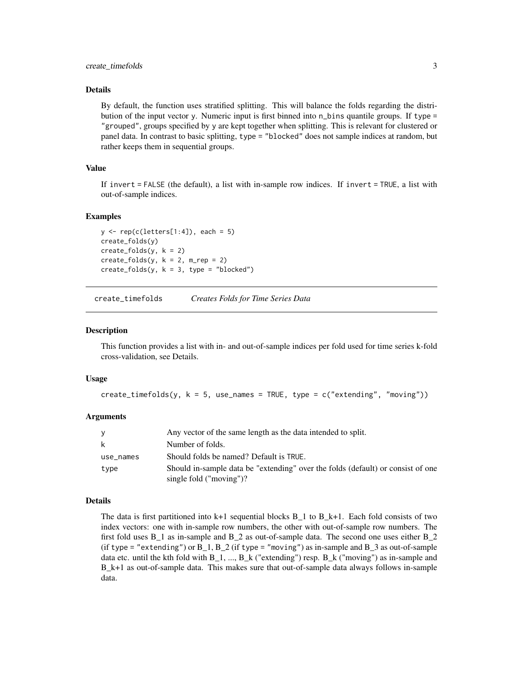#### <span id="page-2-0"></span>Details

By default, the function uses stratified splitting. This will balance the folds regarding the distribution of the input vector y. Numeric input is first binned into n\_bins quantile groups. If type = "grouped", groups specified by y are kept together when splitting. This is relevant for clustered or panel data. In contrast to basic splitting, type = "blocked" does not sample indices at random, but rather keeps them in sequential groups.

#### Value

If invert = FALSE (the default), a list with in-sample row indices. If invert = TRUE, a list with out-of-sample indices.

#### Examples

```
y \leftarrow \text{rep}(c(\text{letters}[1:4]), \text{ each } = 5)create_folds(y)
create_folds(y, k = 2)create_folds(y, k = 2, m_rep = 2)create_folds(y, k = 3, type = "blocked")
```
create\_timefolds *Creates Folds for Time Series Data*

#### Description

This function provides a list with in- and out-of-sample indices per fold used for time series k-fold cross-validation, see Details.

#### Usage

```
create_timefolds(y, k = 5, use_names = TRUE, type = c("extending", "moving"))
```
#### Arguments

|           | Any vector of the same length as the data intended to split.                                                  |
|-----------|---------------------------------------------------------------------------------------------------------------|
| k         | Number of folds.                                                                                              |
| use_names | Should folds be named? Default is TRUE.                                                                       |
| type      | Should in-sample data be "extending" over the folds (default) or consist of one<br>single fold $("moving")$ ? |

#### Details

The data is first partitioned into  $k+1$  sequential blocks  $B_1$  to  $B_k+1$ . Each fold consists of two index vectors: one with in-sample row numbers, the other with out-of-sample row numbers. The first fold uses B\_1 as in-sample and B\_2 as out-of-sample data. The second one uses either B\_2 (if type = "extending") or  $B_1$ ,  $B_2$  (if type = "moving") as in-sample and  $B_3$  as out-of-sample data etc. until the kth fold with  $B_1, ..., B_k$  ("extending") resp.  $B_k$  ("moving") as in-sample and B\_k+1 as out-of-sample data. This makes sure that out-of-sample data always follows in-sample data.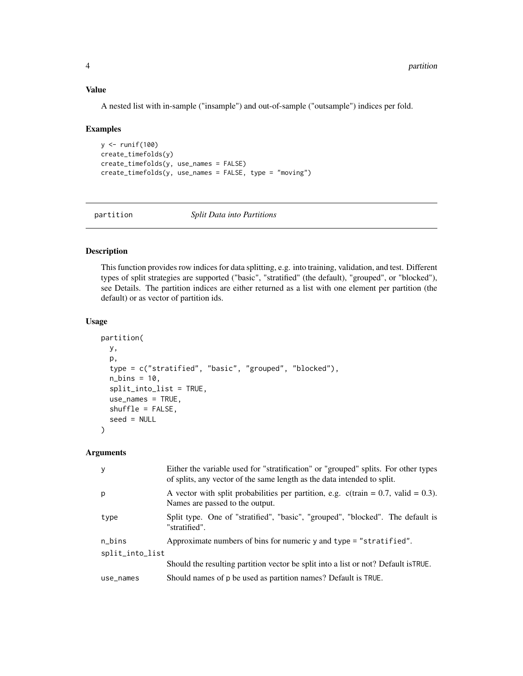#### <span id="page-3-0"></span>Value

A nested list with in-sample ("insample") and out-of-sample ("outsample") indices per fold.

#### Examples

```
y <- runif(100)
create_timefolds(y)
create_timefolds(y, use_names = FALSE)
create_timefolds(y, use_names = FALSE, type = "moving")
```
partition *Split Data into Partitions*

#### Description

This function provides row indices for data splitting, e.g. into training, validation, and test. Different types of split strategies are supported ("basic", "stratified" (the default), "grouped", or "blocked"), see Details. The partition indices are either returned as a list with one element per partition (the default) or as vector of partition ids.

#### Usage

```
partition(
 y,
 p,
  type = c("stratified", "basic", "grouped", "blocked"),
  n_{\text{bins}} = 10,
  split_into_list = TRUE,
 use_names = TRUE,
  shuffle = FALSE,
  seed = NULL
)
```
#### Arguments

| y               | Either the variable used for "stratification" or "grouped" splits. For other types<br>of splits, any vector of the same length as the data intended to split. |  |  |  |  |  |
|-----------------|---------------------------------------------------------------------------------------------------------------------------------------------------------------|--|--|--|--|--|
| p               | A vector with split probabilities per partition, e.g. $c$ (train = 0.7, valid = 0.3).<br>Names are passed to the output.                                      |  |  |  |  |  |
| type            | Split type. One of "stratified", "basic", "grouped", "blocked". The default is<br>"stratified".                                                               |  |  |  |  |  |
| n_bins          | Approximate numbers of bins for numeric y and type = "stratified".                                                                                            |  |  |  |  |  |
| split_into_list |                                                                                                                                                               |  |  |  |  |  |
|                 | Should the resulting partition vector be split into a list or not? Default is TRUE.                                                                           |  |  |  |  |  |
| use_names       | Should names of p be used as partition names? Default is TRUE.                                                                                                |  |  |  |  |  |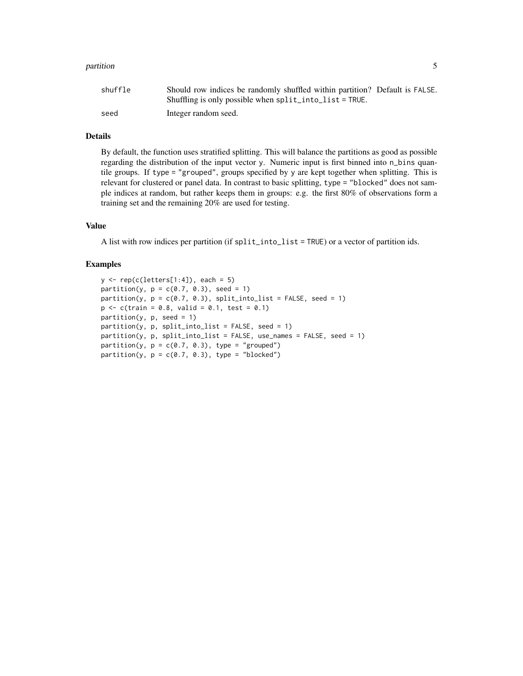#### partition 5 to 1.5 million between 1990 and 2.5 million between 1990 and 2.5 million between 1990 and 2.5 million

| shuffle | Should row indices be randomly shuffled within partition? Default is FALSE. |  |
|---------|-----------------------------------------------------------------------------|--|
|         | Shuffling is only possible when $split\_into\_list = TRUE$ .                |  |
| seed    | Integer random seed.                                                        |  |

#### Details

By default, the function uses stratified splitting. This will balance the partitions as good as possible regarding the distribution of the input vector y. Numeric input is first binned into n\_bins quantile groups. If type = "grouped", groups specified by y are kept together when splitting. This is relevant for clustered or panel data. In contrast to basic splitting, type = "blocked" does not sample indices at random, but rather keeps them in groups: e.g. the first 80% of observations form a training set and the remaining 20% are used for testing.

#### Value

A list with row indices per partition (if split\_into\_list = TRUE) or a vector of partition ids.

#### Examples

```
y \leftarrow \text{rep}(c(\text{letters}[1:4]), \text{ each } = 5)partition(y, p = c(0.7, 0.3), seed = 1)partition(y, p = c(0.7, 0.3), split_into_list = FALSE, seed = 1)
p \leq -c (train = 0.8, valid = 0.1, test = 0.1)
partition(y, p, seed = 1)
partition(y, p, split\_into\_list = FALSE, seed = 1)partition(y, p, split into_list = FALSE, use_name = FALSE, seed = 1)partition(y, p = c(0.7, 0.3), type = "grouped")partition(y, p = c(0.7, 0.3), type = "blocked")
```